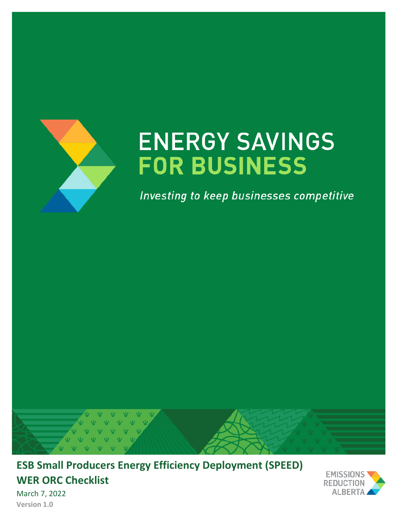

# **ENERGY SAVINGS FOR BUSINESS**

Investing to keep businesses competitive



**ESB Small Producers Energy Efficiency Deployment (SPEED)** 

## **WER ORC Checklist**



March 7, 2022 **Version 1.0**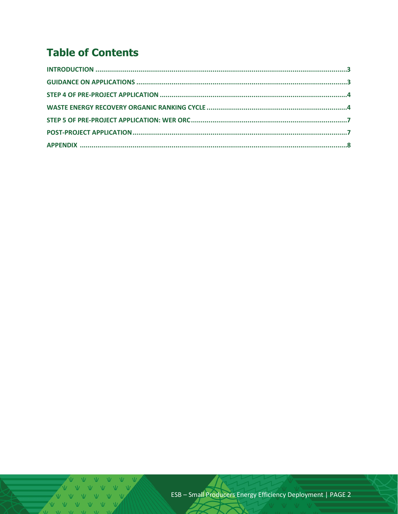## **Table of Contents**

V V V V V V V  $V$   $V$   $V$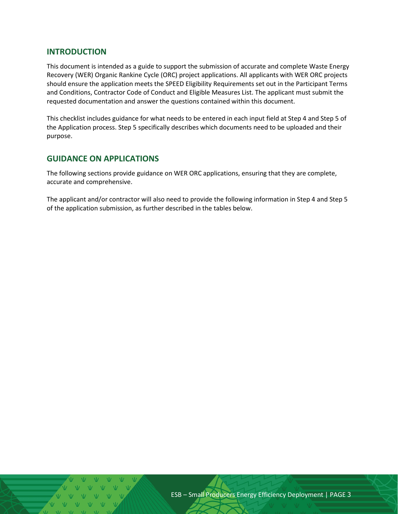#### <span id="page-2-0"></span>**INTRODUCTION**

This document is intended as a guide to support the submission of accurate and complete Waste Energy Recovery (WER) Organic Rankine Cycle (ORC) project applications. All applicants with WER ORC projects should ensure the application meets the SPEED Eligibility Requirements set out in the Participant Terms and Conditions, Contractor Code of Conduct and Eligible Measures List. The applicant must submit the requested documentation and answer the questions contained within this document.

This checklist includes guidance for what needs to be entered in each input field at Step 4 and Step 5 of the Application process. Step 5 specifically describes which documents need to be uploaded and their purpose.

#### <span id="page-2-1"></span>**GUIDANCE ON APPLICATIONS**

The following sections provide guidance on WER ORC applications, ensuring that they are complete, accurate and comprehensive.

The applicant and/or contractor will also need to provide the following information in Step 4 and Step 5 of the application submission, as further described in the tables below.

ESB – Small Producers Energy Efficiency Deployment | PAGE 3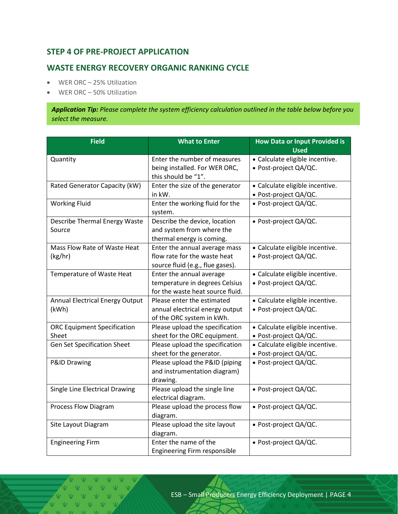### <span id="page-3-0"></span>**STEP 4 OF PRE-PROJECT APPLICATION**

#### <span id="page-3-1"></span>**WASTE ENERGY RECOVERY ORGANIC RANKING CYCLE**

- WER ORC 25% Utilization
- WER ORC 50% Utilization

*Application Tip: Please complete the system efficiency calculation outlined in the table below before you select the measure.*

| <b>Field</b>                           | <b>What to Enter</b>             | <b>How Data or Input Provided is</b> |  |
|----------------------------------------|----------------------------------|--------------------------------------|--|
|                                        |                                  | <b>Used</b>                          |  |
| Quantity                               | Enter the number of measures     | · Calculate eligible incentive.      |  |
|                                        | being installed. For WER ORC,    | · Post-project QA/QC.                |  |
|                                        | this should be "1".              |                                      |  |
| Rated Generator Capacity (kW)          | Enter the size of the generator  | · Calculate eligible incentive.      |  |
|                                        | in kW.                           | · Post-project QA/QC.                |  |
| <b>Working Fluid</b>                   | Enter the working fluid for the  | · Post-project QA/QC.                |  |
|                                        | system.                          |                                      |  |
| Describe Thermal Energy Waste          | Describe the device, location    | · Post-project QA/QC.                |  |
| Source                                 | and system from where the        |                                      |  |
|                                        | thermal energy is coming.        |                                      |  |
| Mass Flow Rate of Waste Heat           | Enter the annual average mass    | · Calculate eligible incentive.      |  |
| (kg/hr)                                | flow rate for the waste heat     | · Post-project QA/QC.                |  |
|                                        | source fluid (e.g., flue gases). |                                      |  |
| Temperature of Waste Heat              | Enter the annual average         | · Calculate eligible incentive.      |  |
|                                        | temperature in degrees Celsius   | · Post-project QA/QC.                |  |
|                                        | for the waste heat source fluid. |                                      |  |
| <b>Annual Electrical Energy Output</b> | Please enter the estimated       | · Calculate eligible incentive.      |  |
| (kWh)                                  | annual electrical energy output  | · Post-project QA/QC.                |  |
|                                        | of the ORC system in kWh.        |                                      |  |
| <b>ORC Equipment Specification</b>     | Please upload the specification  | • Calculate eligible incentive.      |  |
| Sheet                                  | sheet for the ORC equipment.     | · Post-project QA/QC.                |  |
| <b>Gen Set Specification Sheet</b>     | Please upload the specification  | · Calculate eligible incentive.      |  |
|                                        | sheet for the generator.         | · Post-project QA/QC.                |  |
| <b>P&amp;ID Drawing</b>                | Please upload the P&ID (piping   | · Post-project QA/QC.                |  |
|                                        | and instrumentation diagram)     |                                      |  |
|                                        | drawing.                         |                                      |  |
| Single Line Electrical Drawing         | Please upload the single line    | · Post-project QA/QC.                |  |
|                                        | electrical diagram.              |                                      |  |
| <b>Process Flow Diagram</b>            | Please upload the process flow   | · Post-project QA/QC.                |  |
|                                        | diagram.                         |                                      |  |
| Site Layout Diagram                    | Please upload the site layout    | · Post-project QA/QC.                |  |
|                                        | diagram.                         |                                      |  |
| <b>Engineering Firm</b>                | Enter the name of the            | · Post-project QA/QC.                |  |
|                                        | Engineering Firm responsible     |                                      |  |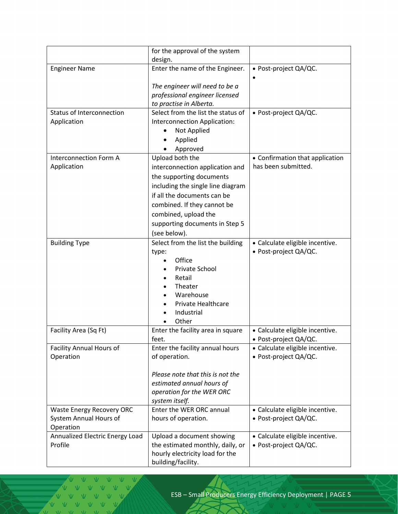|                                  | for the approval of the system     |                                 |  |
|----------------------------------|------------------------------------|---------------------------------|--|
|                                  | design.                            |                                 |  |
| <b>Engineer Name</b>             | Enter the name of the Engineer.    | · Post-project QA/QC.           |  |
|                                  |                                    |                                 |  |
|                                  | The engineer will need to be a     |                                 |  |
|                                  | professional engineer licensed     |                                 |  |
|                                  | to practise in Alberta.            |                                 |  |
| <b>Status of Interconnection</b> | Select from the list the status of | · Post-project QA/QC.           |  |
| Application                      | Interconnection Application:       |                                 |  |
|                                  | Not Applied                        |                                 |  |
|                                  | Applied                            |                                 |  |
|                                  | Approved                           |                                 |  |
| <b>Interconnection Form A</b>    | Upload both the                    | • Confirmation that application |  |
| Application                      | interconnection application and    | has been submitted.             |  |
|                                  | the supporting documents           |                                 |  |
|                                  | including the single line diagram  |                                 |  |
|                                  | if all the documents can be        |                                 |  |
|                                  | combined. If they cannot be        |                                 |  |
|                                  | combined, upload the               |                                 |  |
|                                  | supporting documents in Step 5     |                                 |  |
|                                  | (see below).                       |                                 |  |
| <b>Building Type</b>             | Select from the list the building  | • Calculate eligible incentive. |  |
|                                  | type:                              | • Post-project QA/QC.           |  |
|                                  | Office                             |                                 |  |
|                                  | Private School                     |                                 |  |
|                                  | Retail<br>$\bullet$                |                                 |  |
|                                  | Theater                            |                                 |  |
|                                  | Warehouse                          |                                 |  |
|                                  | Private Healthcare                 |                                 |  |
|                                  | Industrial                         |                                 |  |
|                                  | Other                              |                                 |  |
| Facility Area (Sq Ft)            | Enter the facility area in square  | · Calculate eligible incentive. |  |
|                                  | feet.                              | · Post-project QA/QC.           |  |
| <b>Facility Annual Hours of</b>  | Enter the facility annual hours    | • Calculate eligible incentive. |  |
| Operation                        | of operation.                      | • Post-project QA/QC.           |  |
|                                  | Please note that this is not the   |                                 |  |
|                                  | estimated annual hours of          |                                 |  |
|                                  | operation for the WER ORC          |                                 |  |
|                                  | system itself.                     |                                 |  |
| <b>Waste Energy Recovery ORC</b> | Enter the WER ORC annual           | • Calculate eligible incentive. |  |
| System Annual Hours of           | hours of operation.                | · Post-project QA/QC.           |  |
| Operation                        |                                    |                                 |  |
| Annualized Electric Energy Load  | Upload a document showing          | • Calculate eligible incentive. |  |
| Profile                          | the estimated monthly, daily, or   | • Post-project QA/QC.           |  |
|                                  | hourly electricity load for the    |                                 |  |
|                                  | building/facility.                 |                                 |  |

V V V V V V V V V V V V V V  $V = VV = VV = VV = V$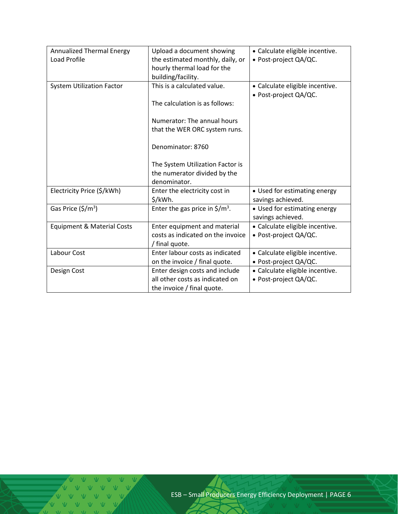| <b>Annualized Thermal Energy</b><br>Load Profile | Upload a document showing<br>the estimated monthly, daily, or<br>hourly thermal load for the<br>building/facility. | • Calculate eligible incentive.<br>• Post-project QA/QC. |  |
|--------------------------------------------------|--------------------------------------------------------------------------------------------------------------------|----------------------------------------------------------|--|
| <b>System Utilization Factor</b>                 | This is a calculated value.<br>The calculation is as follows:                                                      | • Calculate eligible incentive.<br>• Post-project QA/QC. |  |
|                                                  | Numerator: The annual hours<br>that the WER ORC system runs.                                                       |                                                          |  |
|                                                  | Denominator: 8760                                                                                                  |                                                          |  |
|                                                  | The System Utilization Factor is<br>the numerator divided by the<br>denominator.                                   |                                                          |  |
| Electricity Price (\$/kWh)                       | Enter the electricity cost in<br>\$/kWh.                                                                           | • Used for estimating energy<br>savings achieved.        |  |
| Gas Price $(\frac{\xi}{m^3})$                    | Enter the gas price in $\frac{\epsilon}{2}$ /m <sup>3</sup> .                                                      | • Used for estimating energy<br>savings achieved.        |  |
| Equipment & Material Costs                       | Enter equipment and material<br>costs as indicated on the invoice<br>/ final quote.                                | • Calculate eligible incentive.<br>• Post-project QA/QC. |  |
| Labour Cost                                      | Enter labour costs as indicated<br>on the invoice / final quote.                                                   | • Calculate eligible incentive.<br>• Post-project QA/QC. |  |
| Design Cost                                      | Enter design costs and include<br>all other costs as indicated on<br>the invoice / final quote.                    | · Calculate eligible incentive.<br>• Post-project QA/QC. |  |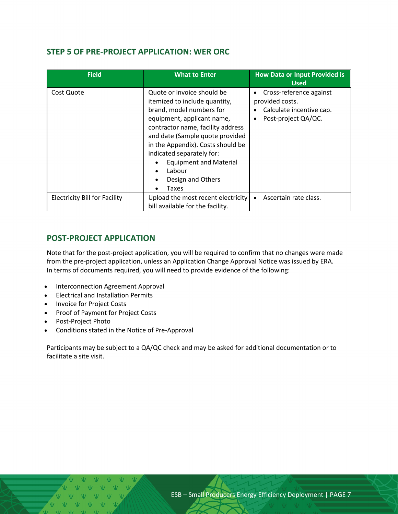#### <span id="page-6-0"></span>**STEP 5 OF PRE-PROJECT APPLICATION: WER ORC**

| <b>Field</b>                         | <b>What to Enter</b>                                                                                                                                                                                                                                                                                                                     | <b>How Data or Input Provided is</b><br><b>Used</b>                                                                     |
|--------------------------------------|------------------------------------------------------------------------------------------------------------------------------------------------------------------------------------------------------------------------------------------------------------------------------------------------------------------------------------------|-------------------------------------------------------------------------------------------------------------------------|
| Cost Quote                           | Quote or invoice should be<br>itemized to include quantity,<br>brand, model numbers for<br>equipment, applicant name,<br>contractor name, facility address<br>and date (Sample quote provided<br>in the Appendix). Costs should be<br>indicated separately for:<br><b>Equipment and Material</b><br>Labour<br>Design and Others<br>Taxes | Cross-reference against<br>$\bullet$<br>provided costs.<br>Calculate incentive cap.<br>Post-project QA/QC.<br>$\bullet$ |
| <b>Electricity Bill for Facility</b> | Upload the most recent electricity<br>bill available for the facility.                                                                                                                                                                                                                                                                   | Ascertain rate class.<br>$\bullet$                                                                                      |

#### <span id="page-6-1"></span>**POST-PROJECT APPLICATION**

Note that for the post-project application, you will be required to confirm that no changes were made from the pre-project application, unless an Application Change Approval Notice was issued by ERA. In terms of documents required, you will need to provide evidence of the following:

- Interconnection Agreement Approval
- Electrical and Installation Permits
- Invoice for Project Costs
- Proof of Payment for Project Costs
- Post-Project Photo
- Conditions stated in the Notice of Pre-Approval

Participants may be subject to a QA/QC check and may be asked for additional documentation or to facilitate a site visit.

ESB – Small Producers Energy Efficiency Deployment | PAGE 7